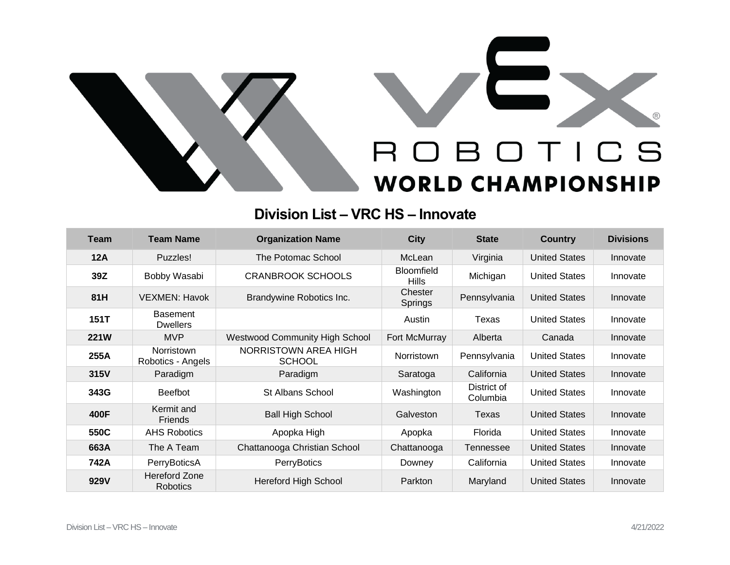

## **Division List – VRC HS – Innovate**

| <b>Team</b> | <b>Team Name</b>                   | <b>Organization Name</b>              | <b>City</b>                       | <b>State</b>            | <b>Country</b>       | <b>Divisions</b> |
|-------------|------------------------------------|---------------------------------------|-----------------------------------|-------------------------|----------------------|------------------|
| <b>12A</b>  | Puzzles!                           | The Potomac School                    | McLean                            | Virginia                | <b>United States</b> | Innovate         |
| 39Z         | Bobby Wasabi                       | <b>CRANBROOK SCHOOLS</b>              | <b>Bloomfield</b><br><b>Hills</b> | Michigan                | <b>United States</b> | Innovate         |
| 81H         | VEXMEN: Havok                      | Brandywine Robotics Inc.              | Chester<br>Springs                | Pennsylvania            | <b>United States</b> | Innovate         |
| 151T        | <b>Basement</b><br><b>Dwellers</b> |                                       | Austin                            | Texas                   | <b>United States</b> | Innovate         |
| <b>221W</b> | <b>MVP</b>                         | <b>Westwood Community High School</b> | Fort McMurray                     | Alberta                 | Canada               | Innovate         |
| 255A        | Norristown<br>Robotics - Angels    | NORRISTOWN AREA HIGH<br><b>SCHOOL</b> | <b>Norristown</b>                 | Pennsylvania            | <b>United States</b> | Innovate         |
| 315V        | Paradigm                           | Paradigm                              | Saratoga                          | California              | <b>United States</b> | Innovate         |
| 343G        | <b>Beefbot</b>                     | <b>St Albans School</b>               | Washington                        | District of<br>Columbia | <b>United States</b> | Innovate         |
| 400F        | Kermit and<br><b>Friends</b>       | <b>Ball High School</b>               | Galveston                         | Texas                   | <b>United States</b> | Innovate         |
| 550C        | <b>AHS Robotics</b>                | Apopka High                           | Apopka                            | Florida                 | <b>United States</b> | Innovate         |
| 663A        | The A Team                         | Chattanooga Christian School          | Chattanooga                       | Tennessee               | <b>United States</b> | Innovate         |
| 742A        | PerryBoticsA                       | <b>PerryBotics</b>                    | Downey                            | California              | <b>United States</b> | Innovate         |
| 929V        | Hereford Zone<br><b>Robotics</b>   | <b>Hereford High School</b>           | Parkton                           | Maryland                | <b>United States</b> | Innovate         |

 $^{\circledR}$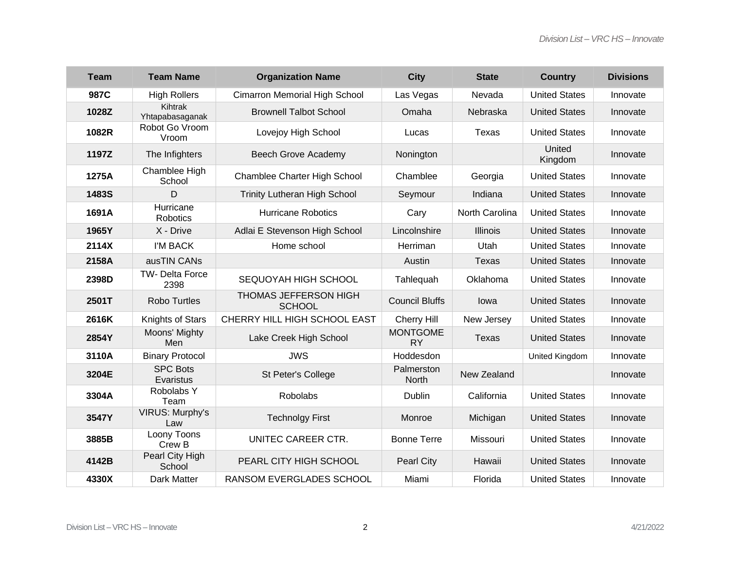| <b>Team</b> | <b>Team Name</b>             | <b>Organization Name</b>               | <b>City</b>                  | <b>State</b>    | <b>Country</b>       | <b>Divisions</b> |
|-------------|------------------------------|----------------------------------------|------------------------------|-----------------|----------------------|------------------|
| 987C        | <b>High Rollers</b>          | Cimarron Memorial High School          | Las Vegas                    | Nevada          | <b>United States</b> | Innovate         |
| 1028Z       | Kihtrak<br>Yhtapabasaganak   | <b>Brownell Talbot School</b>          | Omaha                        | Nebraska        | <b>United States</b> | Innovate         |
| 1082R       | Robot Go Vroom<br>Vroom      | Lovejoy High School                    | Lucas                        | Texas           | <b>United States</b> | Innovate         |
| 1197Z       | The Infighters               | <b>Beech Grove Academy</b>             | Nonington                    |                 | United<br>Kingdom    | Innovate         |
| 1275A       | Chamblee High<br>School      | Chamblee Charter High School           | Chamblee                     | Georgia         | <b>United States</b> | Innovate         |
| 1483S       | D                            | <b>Trinity Lutheran High School</b>    | Seymour                      | Indiana         | <b>United States</b> | Innovate         |
| 1691A       | Hurricane<br>Robotics        | <b>Hurricane Robotics</b>              | Cary                         | North Carolina  | <b>United States</b> | Innovate         |
| 1965Y       | X - Drive                    | Adlai E Stevenson High School          | Lincolnshire                 | <b>Illinois</b> | <b>United States</b> | Innovate         |
| 2114X       | I'M BACK                     | Home school                            | Herriman                     | Utah            | <b>United States</b> | Innovate         |
| 2158A       | ausTIN CANs                  |                                        | Austin                       | <b>Texas</b>    | <b>United States</b> | Innovate         |
| 2398D       | TW- Delta Force<br>2398      | SEQUOYAH HIGH SCHOOL                   | Tahlequah                    | Oklahoma        | <b>United States</b> | Innovate         |
| 2501T       | <b>Robo Turtles</b>          | THOMAS JEFFERSON HIGH<br><b>SCHOOL</b> | <b>Council Bluffs</b>        | lowa            | <b>United States</b> | Innovate         |
| 2616K       | Knights of Stars             | CHERRY HILL HIGH SCHOOL EAST           | Cherry Hill                  | New Jersey      | <b>United States</b> | Innovate         |
| 2854Y       | Moons' Mighty<br>Men         | Lake Creek High School                 | <b>MONTGOME</b><br><b>RY</b> | Texas           | <b>United States</b> | Innovate         |
| 3110A       | <b>Binary Protocol</b>       | <b>JWS</b>                             | Hoddesdon                    |                 | United Kingdom       | Innovate         |
| 3204E       | <b>SPC Bots</b><br>Evaristus | St Peter's College                     | Palmerston<br>North          | New Zealand     |                      | Innovate         |
| 3304A       | Robolabs Y<br>Team           | <b>Robolabs</b>                        | Dublin                       | California      | <b>United States</b> | Innovate         |
| 3547Y       | VIRUS: Murphy's<br>Law       | <b>Technolgy First</b>                 | Monroe                       | Michigan        | <b>United States</b> | Innovate         |
| 3885B       | Loony Toons<br>Crew B        | UNITEC CAREER CTR.                     | <b>Bonne Terre</b>           | Missouri        | <b>United States</b> | Innovate         |
| 4142B       | Pearl City High<br>School    | PEARL CITY HIGH SCHOOL                 | <b>Pearl City</b>            | Hawaii          | <b>United States</b> | Innovate         |
| 4330X       | Dark Matter                  | <b>RANSOM EVERGLADES SCHOOL</b>        | Miami                        | Florida         | <b>United States</b> | Innovate         |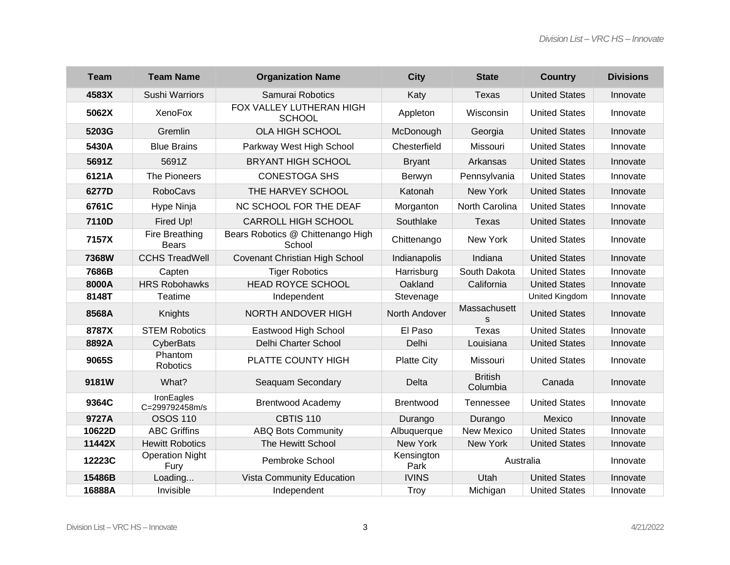| <b>Team</b>  | <b>Team Name</b>               | <b>Organization Name</b>                    | <b>City</b>        | <b>State</b>               | <b>Country</b>       | <b>Divisions</b> |
|--------------|--------------------------------|---------------------------------------------|--------------------|----------------------------|----------------------|------------------|
| 4583X        | <b>Sushi Warriors</b>          | Samurai Robotics                            | Katy               | <b>Texas</b>               | <b>United States</b> | Innovate         |
| 5062X        | <b>XenoFox</b>                 | FOX VALLEY LUTHERAN HIGH<br><b>SCHOOL</b>   | Appleton           | Wisconsin                  | <b>United States</b> | Innovate         |
| 5203G        | Gremlin                        | <b>OLA HIGH SCHOOL</b>                      | McDonough          | Georgia                    | <b>United States</b> | Innovate         |
| 5430A        | <b>Blue Brains</b>             | Parkway West High School                    | Chesterfield       | Missouri                   | <b>United States</b> | Innovate         |
| 5691Z        | 5691Z                          | <b>BRYANT HIGH SCHOOL</b>                   | <b>Bryant</b>      | Arkansas                   | <b>United States</b> | Innovate         |
| 6121A        | The Pioneers                   | <b>CONESTOGA SHS</b>                        | Berwyn             | Pennsylvania               | <b>United States</b> | Innovate         |
| 6277D        | <b>RoboCavs</b>                | THE HARVEY SCHOOL                           | Katonah            | New York                   | <b>United States</b> | Innovate         |
| 6761C        | Hype Ninja                     | NC SCHOOL FOR THE DEAF                      | Morganton          | North Carolina             | <b>United States</b> | Innovate         |
| 7110D        | Fired Up!                      | <b>CARROLL HIGH SCHOOL</b>                  | Southlake          | <b>Texas</b>               | <b>United States</b> | Innovate         |
| 7157X        | Fire Breathing<br><b>Bears</b> | Bears Robotics @ Chittenango High<br>School | Chittenango        | New York                   | <b>United States</b> | Innovate         |
| <b>7368W</b> | <b>CCHS TreadWell</b>          | Covenant Christian High School              | Indianapolis       | Indiana                    | <b>United States</b> | Innovate         |
| 7686B        | Capten                         | <b>Tiger Robotics</b>                       | Harrisburg         | South Dakota               | <b>United States</b> | Innovate         |
| 8000A        | <b>HRS Robohawks</b>           | <b>HEAD ROYCE SCHOOL</b>                    | Oakland            | California                 | <b>United States</b> | Innovate         |
| 8148T        | Teatime                        | Independent                                 | Stevenage          |                            | United Kingdom       | Innovate         |
| 8568A        | Knights                        | NORTH ANDOVER HIGH                          | North Andover      | Massachusett<br>S.         | <b>United States</b> | Innovate         |
| 8787X        | <b>STEM Robotics</b>           | Eastwood High School                        | El Paso            | <b>Texas</b>               | <b>United States</b> | Innovate         |
| 8892A        | CyberBats                      | Delhi Charter School                        | Delhi              | Louisiana                  | <b>United States</b> | Innovate         |
| 9065S        | Phantom<br>Robotics            | <b>PLATTE COUNTY HIGH</b>                   | <b>Platte City</b> | Missouri                   | <b>United States</b> | Innovate         |
| 9181W        | What?                          | Seaquam Secondary                           | <b>Delta</b>       | <b>British</b><br>Columbia | Canada               | Innovate         |
| 9364C        | IronEagles<br>C=299792458m/s   | <b>Brentwood Academy</b>                    | Brentwood          | <b>Tennessee</b>           | <b>United States</b> | Innovate         |
| 9727A        | <b>OSOS 110</b>                | <b>CBTIS 110</b>                            | Durango            | Durango                    | Mexico               | Innovate         |
| 10622D       | <b>ABC Griffins</b>            | <b>ABQ Bots Community</b>                   | Albuquerque        | <b>New Mexico</b>          | <b>United States</b> | Innovate         |
| 11442X       | <b>Hewitt Robotics</b>         | The Hewitt School                           | New York           | New York                   | <b>United States</b> | Innovate         |
| 12223C       | <b>Operation Night</b><br>Fury | Pembroke School                             | Kensington<br>Park | Australia                  |                      | Innovate         |
| 15486B       | Loading                        | Vista Community Education                   | <b>IVINS</b>       | Utah                       | <b>United States</b> | Innovate         |
| 16888A       | Invisible                      | Independent                                 | Troy               | Michigan                   | <b>United States</b> | Innovate         |